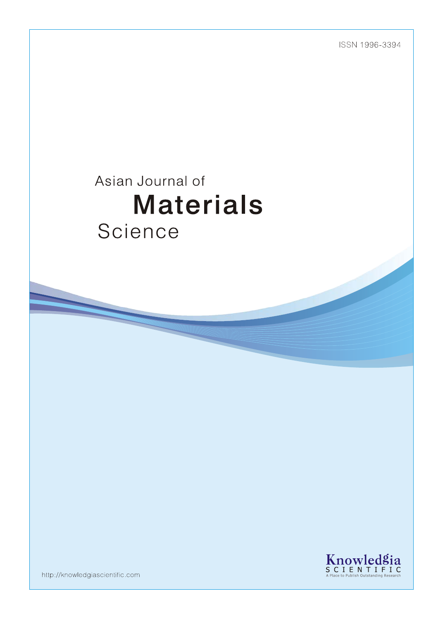ISSN 1996-3394

# Asian Journal of **Materials** Science



http://knowledgiascientific.com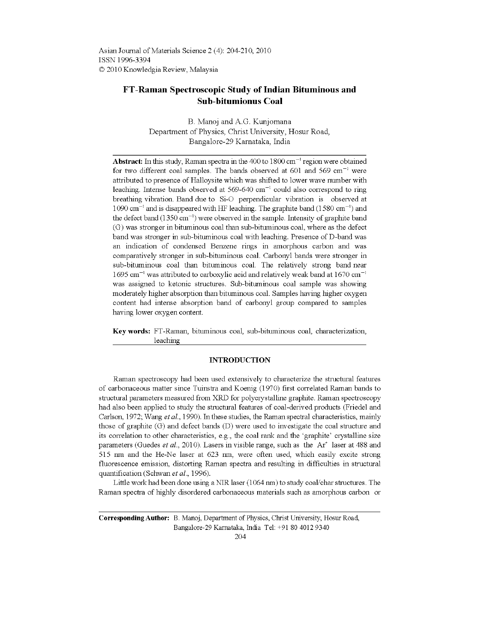Asian Journal of Materials Science 2 (4): 204-210, 2010 ISSN 1996-3394 © 2010 Knowledgia Review, Malaysia

# FT-Raman Spectroscopic Study of Indian Bituminous and **Sub-bitumionus Coal**

B. Manoj and A.G. Kunjomana Department of Physics, Christ University, Hosur Road, Bangalore-29 Karnataka, India

**Abstract:** In this study, Raman spectra in the 400 to 1800 cm<sup>-1</sup> region were obtained for two different coal samples. The bands observed at 601 and 569 cm<sup>-1</sup> were attributed to presence of Halloysite which was shifted to lower wave number with leaching. Intense bands observed at 569-640 cm<sup>-1</sup> could also correspond to ring breathing vibration. Band due to Si-O perpendicular vibration is observed at  $1090 \text{ cm}^{-1}$  and is disappeared with HF leaching. The graphite band (1580 cm<sup>-1</sup>) and the defect band  $(1350 \text{ cm}^{-1})$  were observed in the sample. Intensity of graphite band (G) was stronger in bituminous coal than sub-bituminous coal, where as the defect band was stronger in sub-bituminous coal with leaching. Presence of D-band was an indication of condensed Benzene rings in amorphous carbon and was comparatively stronger in sub-bituminous coal. Carbonyl bands were stronger in sub-bituminous coal than bituminous coal. The relatively strong band near  $1695$  cm<sup>-1</sup> was attributed to carboxylic acid and relatively weak band at 1670 cm<sup>-1</sup> was assigned to ketonic structures. Sub-bituminous coal sample was showing moderately higher absorption than bituminous coal. Samples having higher oxygen content had intense absorption band of carbonyl group compared to samples having lower oxygen content.

Key words: FT-Raman, bituminous coal, sub-bituminous coal, characterization, leaching

## **INTRODUCTION**

Raman spectroscopy had been used extensively to characterize the structural features of carbonaceous matter since Tuinstra and Koenig (1970) first correlated Raman bands to structural parameters measured from XRD for polycrystalline graphite. Raman spectroscopy had also been applied to study the structural features of coal-derived products (Friedel and Carlson, 1972; Wang et al., 1990). In these studies, the Raman spectral characteristics, mainly those of graphite (G) and defect bands (D) were used to investigate the coal structure and its correlation to other characteristics, e.g., the coal rank and the 'graphite' crystalline size parameters (Guedes *et al.*, 2010). Lasers in visible range, such as the  $Ar^*$  laser at 488 and 515 nm and the He-Ne laser at 623 nm, were often used, which easily excite strong fluorescence emission, distorting Raman spectra and resulting in difficulties in structural quantification (Schwan et al., 1996).

Little work had been done using a NIR laser (1064 nm) to study coal/char structures. The Raman spectra of highly disordered carbonaceous materials such as amorphous carbon or

Corresponding Author: B. Manoj, Department of Physics, Christ University, Hosur Road, Bangalore-29 Karnataka, India Tel: +91 80 4012 9340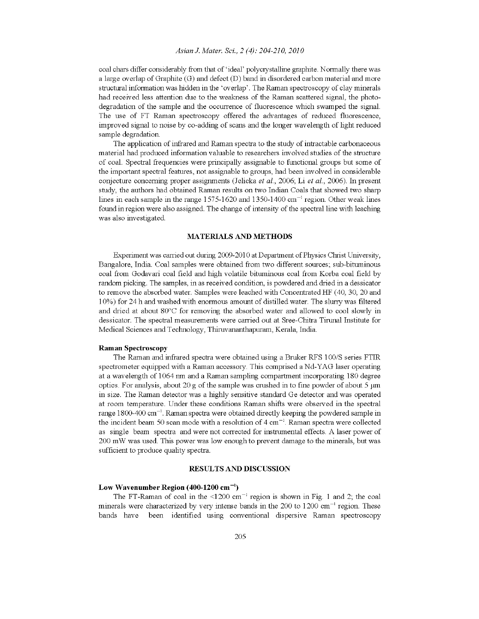# Asian J. Mater. Sci., 2 (4): 204-210, 2010

coal chars differ considerably from that of 'ideal' polycrystalline graphite. Normally there was a large overlap of Graphite  $(G)$  and defect  $(D)$  band in disordered carbon material and more structural information was hidden in the 'overlap'. The Raman spectroscopy of clay minerals had received less attention due to the weakness of the Raman scattered signal, the photodegradation of the sample and the occurrence of fluorescence which swamped the signal. The use of FT Raman spectroscopy offered the advantages of reduced fluorescence, improved signal to noise by co-adding of scans and the longer wavelength of light reduced sample degradation.

The application of infrared and Raman spectra to the study of intractable carbonaceous material had produced information valuable to researchers involved studies of the structure of coal. Spectral frequencies were principally assignable to functional groups but some of the important spectral features, not assignable to groups, had been involved in considerable conjecture concerning proper assignments (Jelicka et al., 2006; Li et al., 2006). In present study, the authors had obtained Raman results on two Indian Coals that showed two sharp lines in each sample in the range  $1575-1620$  and  $1350-1400$  cm<sup>-1</sup> region. Other weak lines found in region were also assigned. The change of intensity of the spectral line with leaching was also investigated.

# **MATERIALS AND METHODS**

Experiment was carried out during 2009-2010 at Department of Physics Christ University, Bangalore, India. Coal samples were obtained from two different sources; sub-bituminous coal from Godavari coal field and high volatile bituminous coal from Korba coal field by random picking. The samples, in as received condition, is powdered and dried in a dessicator to remove the absorbed water. Samples were leached with Concentrated HF (40, 30, 20 and 10%) for 24 h and washed with enormous amount of distilled water. The slurry was filtered and dried at about 80°C for removing the absorbed water and allowed to cool slowly in dessicator. The spectral measurements were carried out at Sree-Chitra Tirunal Institute for Medical Sciences and Technology, Thiruvananthapuram, Kerala, India.

#### **Raman Spectroscopy**

The Raman and infrared spectra were obtained using a Bruker RFS 100/S series FTIR spectrometer equipped with a Raman accessory. This comprised a Nd-YAG laser operating at a wavelength of 1064 nm and a Raman sampling compartment incorporating 180 degree optics. For analysis, about 20 g of the sample was crushed in to fine powder of about 5  $\mu$ m in size. The Raman detector was a highly sensitive standard Ge detector and was operated at room temperature. Under these conditions Raman shifts were observed in the spectral range  $1800-400 \text{ cm}^{-1}$ . Raman spectra were obtained directly keeping the powdered sample in the incident beam 50 scan mode with a resolution of  $4 \text{ cm}^{-1}$ . Raman spectra were collected as single beam spectra and were not corrected for instrumental effects. A laser power of 200 mW was used. This power was low enough to prevent damage to the minerals, but was sufficient to produce quality spectra.

#### **RESULTS AND DISCUSSION**

#### Low Wavenumber Region (400-1200 cm<sup>-1</sup>)

The FT-Raman of coal in the <1200 cm<sup>-1</sup> region is shown in Fig. 1 and 2; the coal minerals were characterized by very intense bands in the 200 to 1200 cm<sup>-1</sup> region. These bands have been identified using conventional dispersive Raman spectroscopy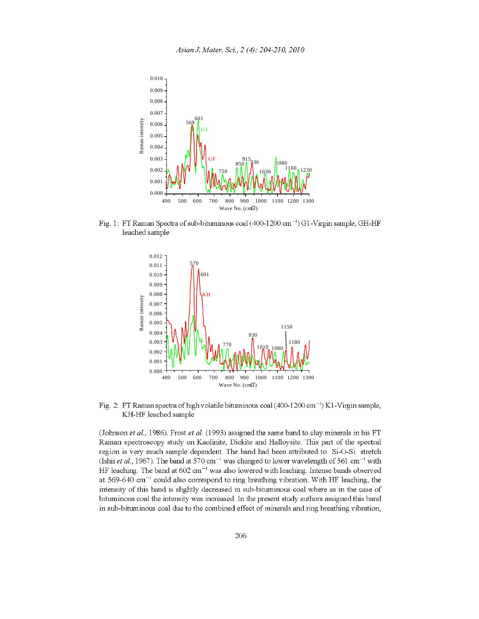

Fig. 1: FT Raman Spectra of sub-bituminous coal (400-1200 cm<sup>-1</sup>) G1-Virgin sample, GH-HF leached sample



Fig. 2: FT Raman spectra of high volatile bituminous coal (400-1200 cm<sup>-1</sup>) K1-Virgin sample, KH-HF leached sample

(Johnson et al., 1986). Frost et al. (1993) assigned the same band to clay minerals in his FT Raman spectroscopy study on Kaolinite, Dickite and Halloysite. This part of the spectral region is very much sample dependent. The band had been attributed to Si-O-Si stretch (Ishii et al., 1967). The band at 570 cm<sup>-1</sup> was changed to lower wavelength of 561 cm<sup>-1</sup> with HF leaching. The band at  $602 \text{ cm}^{-1}$  was also lowered with leaching. Intense bands observed at  $569-640$  cm<sup>-1</sup> could also correspond to ring breathing vibration. With HF leaching, the intensity of this band is slightly decreased in sub-bituminous coal where as in the case of bituminous coal the intensity was increased. In the present study authors assigned this band in sub-bitum mous coal due to the combined effect of minerals and ring breathing vibration,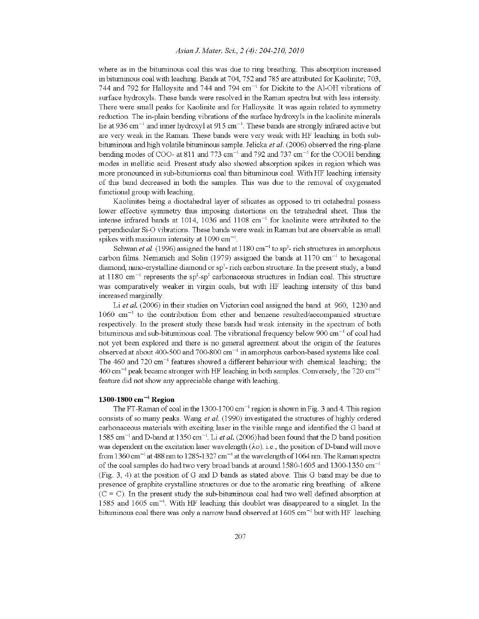# Asian J. Mater. Sci., 2 (4): 204-210, 2010

where as in the bituminous coal this was due to ring breathing. This absorption increased in bituminous coal with leaching. Bands at 704, 752 and 785 are attributed for Kaolinite; 703, 744 and 792 for Halloysite and 744 and 794 cm<sup>-1</sup> for Dickite to the Al-OH vibrations of surface hydroxyls. These bands were resolved in the Raman spectra but with less intensity. There were small peaks for Kaolinite and for Halloysite. It was again related to symmetry reduction. The in-plain bending vibrations of the surface hydroxyls in the kaolinite minerals lie at 936 cm<sup>-1</sup> and inner hydroxyl at 915 cm<sup>-1</sup>. These bands are strongly infrared active but are very weak in the Raman. These bands were very weak with HF leaching in both subbituminous and high volatile bituminous sample. Jelicka et al. (2006) observed the ring-plane bending modes of COO- at 811 and 773 cm<sup>-1</sup> and 792 and 737 cm<sup>-1</sup> for the COOH bending modes in mellitic acid. Present study also showed absorption spikes in region which was more pronounced in sub-bitumionus coal than bituminous coal. With HF leaching intensity of this band decreased in both the samples. This was due to the removal of oxygenated functional group with leaching.

Kaolinites being a dioctahedral layer of silicates as opposed to tri octahedral possess lower effective symmetry thus imposing distortions on the tetrahedral sheet. Thus the intense infrared bands at 1014, 1036 and 1108 cm<sup>-1</sup> for kaolinite were attributed to the perpendicular Si-O vibrations. These bands were weak in Raman but are observable as small spikes with maximum intensity at  $1090 \text{ cm}^{-1}$ .

Schwan et al. (1996) assigned the band at 1180 cm<sup>-1</sup> to sp<sup>3</sup>- rich structures in amorphous carbon films. Nemanich and Solin (1979) assigned the bands at 1170 cm<sup>-1</sup> to hexagonal diamond, nano-crystalline diamond or sp<sup>3</sup>- rich carbon structure. In the present study, a band at 1180 cm<sup>-1</sup> represents the sp<sup>2</sup>-sp<sup>3</sup> carbonaceous structures in Indian coal. This structure was comparatively weaker in virgin coals, but with HF leaching intensity of this band increased marginally.

Li et al. (2006) in their studies on Victorian coal assigned the band at 960, 1230 and  $1060 \text{ cm}^{-1}$  to the contribution from ether and benzene resulted/accompanied structure respectively. In the present study these bands had weak intensity in the spectrum of both bituminous and sub-bituminous coal. The vibrational frequency below 900  $\text{cm}^{-1}$  of coal had not yet been explored and there is no general agreement about the origin of the features observed at about 400-500 and 700-800 cm<sup>-1</sup> in amorphous carbon-based systems like coal. The 460 and 720 cm<sup>-1</sup> features showed a different behaviour with chemical leaching; the  $460 \text{ cm}^{-1}$  peak became stronger with HF leaching in both samples. Conversely, the 720 cm<sup>-1</sup> feature did not show any appreciable change with leaching.

# 1300-1800 cm<sup>-1</sup> Region

The FT-Raman of coal in the 1300-1700 cm<sup>-1</sup> region is shown in Fig. 3 and 4. This region consists of so many peaks. Wang *et al.* (1990) investigated the structures of highly ordered carbonaceous materials with exciting laser in the visible range and identified the G band at 1585 cm<sup>-1</sup> and D-band at 1350 cm<sup>-1</sup>. Li et al. (2006) had been found that the D band position was dependent on the excitation laser wavelength  $(\lambda \circ)$ . i.e., the position of D-band will move from 1360 cm<sup>-1</sup> at 488 nm to 1285-1327 cm<sup>-1</sup> at the wavelength of 1064 nm. The Raman spectra of the coal samples do had two very broad bands at around 1580-1605 and 1300-1350 cm<sup>-1</sup> (Fig. 3, 4) at the position of G and D bands as stated above. This G band may be due to presence of graphite crystalline structures or due to the aromatic ring breathing of alkene  $(C = C)$ . In the present study the sub-bituminous coal had two well defined absorption at 1585 and 1605 cm<sup>-1</sup>. With HF leaching this doublet was disappeared to a singlet. In the bituminous coal there was only a narrow band observed at  $1605 \text{ cm}^{-1}$  but with HF leaching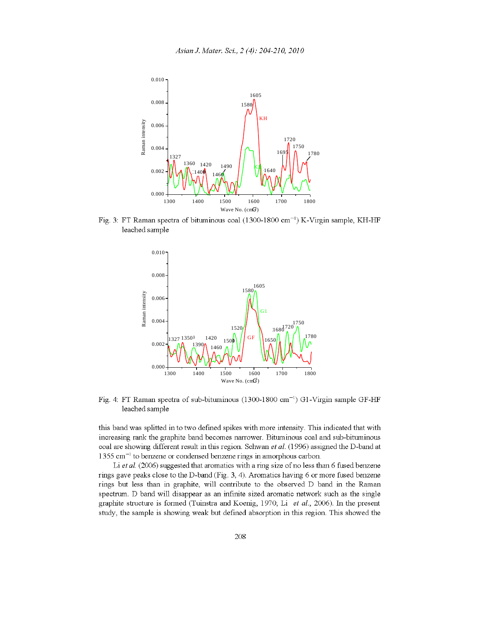

Fig. 3: FT Raman spectra of bituminous coal (1300-1800 cm<sup>-1</sup>) K-Virgin sample, KH-HF leached sample



Fig. 4: FT Raman spectra of sub-bituminous (1300-1800 cm<sup>-1</sup>) G1-Virgin sample GF-HF leached sample

this band was splitted in to two defined spikes with more intensity. This indicated that with increasing rank the graphite band becomes narrower. Bituminous coal and sub-bituminous coal are showing different result in this region. Schwan et al. (1996) assigned the D-band at  $1355$  cm<sup>-1</sup> to benzene or condensed benzene rings in amorphous carbon.

Li et al. (2006) suggested that aromatics with a ring size of no less than 6 fused benzene rings gave peaks close to the D-band (Fig. 3, 4). Aromatics having 6 or more fused benzene rings but less than in graphite, will contribute to the observed D band in the Raman spectrum. D band will disappear as an infinite sized aromatic network such as the single graphite structure is formed (Tuinstra and Koenig, 1970; Li et al., 2006). In the present study, the sample is showing weak but defined absorption in this region. This showed the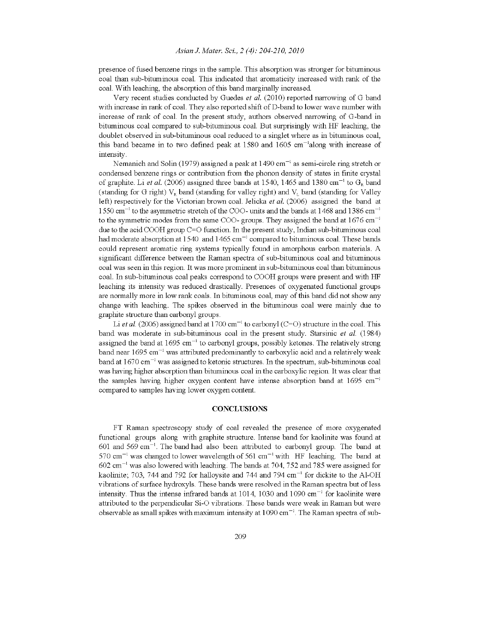presence of fused benzene rings in the sample. This absorption was stronger for bituminous coal than sub-bituminous coal. This indicated that aromaticity increased with rank of the coal. With leaching, the absorption of this band marginally increased.

Very recent studies conducted by Guedes et al. (2010) reported narrowing of G band with increase in rank of coal. They also reported shift of D-band to lower wave number with increase of rank of coal. In the present study, authors observed narrowing of G-band in bituminous coal compared to sub-bituminous coal. But surprisingly with HF leaching, the doublet observed in sub-bituminous coal reduced to a singlet where as in bituminous coal, this band became in to two defined peak at  $1580$  and  $1605$  cm<sup>-1</sup>along with increase of intensity.

Nemanich and Solin (1979) assigned a peak at 1490 cm<sup>-1</sup> as semi-circle ring stretch or condensed benzene rings or contribution from the phonon density of states in finite crystal of graphite. Li et al. (2006) assigned three bands at 1540, 1465 and 1380 cm<sup>-1</sup> to G<sub>R</sub> band (standing for G right)  $V_R$  band (standing for valley right) and  $V_L$  band (standing for Valley left) respectively for the Victorian brown coal. Jelicka et al.  $(2006)$  assigned the band at  $1550 \text{ cm}^{-1}$  to the asymmetric stretch of the COO- units and the bands at 1468 and 1386 cm<sup>-1</sup> to the symmetric modes from the same COO- groups. They assigned the band at  $1676 \text{ cm}^{-1}$ due to the acid COOH group  $C=O$  function. In the present study, Indian sub-bituminous coal had moderate absorption at 1540 and 1465 cm<sup>-1</sup> compared to bituminous coal. These bands could represent aromatic ring systems typically found in amorphous carbon materials. A significant difference between the Raman spectra of sub-bituminous coal and bituminous coal was seen in this region. It was more prominent in sub-bituminous coal than bituminous coal. In sub-bituminous coal peaks correspond to COOH groups were present and with HF leaching its intensity was reduced drastically. Presences of oxygenated functional groups are normally more in low rank coals. In bituminous coal, may of this band did not show any change with leaching. The spikes observed in the bituminous coal were mainly due to graphite structure than carbonyl groups.

Li et al. (2006) assigned band at 1700 cm<sup>-1</sup> to carbonyl (C=O) structure in the coal. This band was moderate in sub-bituminous coal in the present study. Starsinic et al. (1984) assigned the band at 1695 cm<sup>-1</sup> to carbonyl groups, possibly ketones. The relatively strong band near  $1695 \text{ cm}^{-1}$  was attributed predominantly to carboxylic acid and a relatively weak band at  $1670 \text{ cm}^{-1}$  was assigned to ketonic structures. In the spectrum, sub-bituminous coal was having higher absorption than bituminous coal in the carboxylic region. It was clear that the samples having higher oxygen content have intense absorption band at  $1695 \text{ cm}^{-1}$ compared to samples having lower oxygen content.

#### **CONCLUSIONS**

FT Raman spectroscopy study of coal revealed the presence of more oxygenated functional groups along with graphite structure. Intense band for kaolinite was found at 601 and 569 cm<sup>-1</sup>. The band had also been attributed to carbonyl group. The band at  $570$  cm<sup>-1</sup> was changed to lower wavelength of 561 cm<sup>-1</sup> with HF leaching. The band at  $602$  cm<sup>-1</sup> was also lowered with leaching. The bands at 704, 752 and 785 were assigned for kaolinite, 703, 744 and 792 for halloysite and 744 and 794 cm<sup>-1</sup> for dickite to the Al-OH vibrations of surface hydroxyls. These bands were resolved in the Raman spectra but of less intensity. Thus the intense infrared bands at 1014, 1030 and 1090  $\text{cm}^{-1}$  for kaolinite were attributed to the perpendicular Si-O vibrations. These bands were weak in Raman but were observable as small spikes with maximum intensity at  $1090 \text{ cm}^{-1}$ . The Raman spectra of sub-